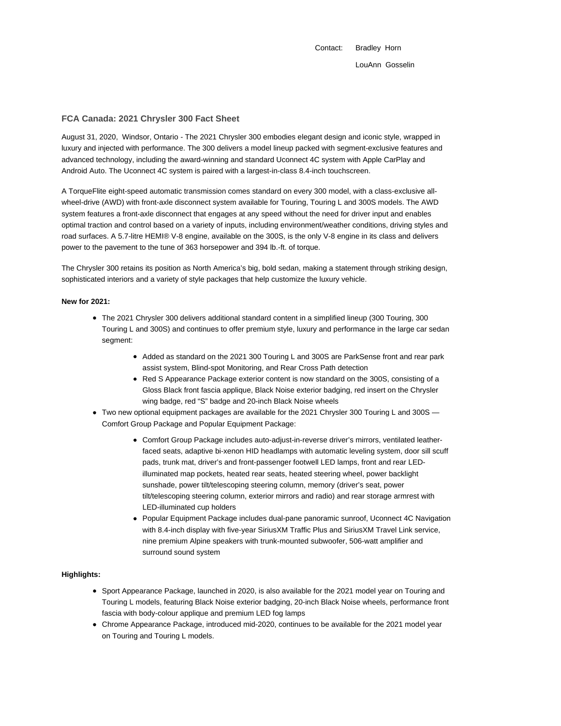Contact: Bradley Horn LouAnn Gosselin

### **FCA Canada: 2021 Chrysler 300 Fact Sheet**

August 31, 2020, Windsor, Ontario - The 2021 Chrysler 300 embodies elegant design and iconic style, wrapped in luxury and injected with performance. The 300 delivers a model lineup packed with segment-exclusive features and advanced technology, including the award-winning and standard Uconnect 4C system with Apple CarPlay and Android Auto. The Uconnect 4C system is paired with a largest-in-class 8.4-inch touchscreen.

A TorqueFlite eight-speed automatic transmission comes standard on every 300 model, with a class-exclusive allwheel-drive (AWD) with front-axle disconnect system available for Touring, Touring L and 300S models. The AWD system features a front-axle disconnect that engages at any speed without the need for driver input and enables optimal traction and control based on a variety of inputs, including environment/weather conditions, driving styles and road surfaces. A 5.7-litre HEMI® V-8 engine, available on the 300S, is the only V-8 engine in its class and delivers power to the pavement to the tune of 363 horsepower and 394 lb.-ft. of torque.

The Chrysler 300 retains its position as North America's big, bold sedan, making a statement through striking design, sophisticated interiors and a variety of style packages that help customize the luxury vehicle.

### **New for 2021:**

- The 2021 Chrysler 300 delivers additional standard content in a simplified lineup (300 Touring, 300 Touring L and 300S) and continues to offer premium style, luxury and performance in the large car sedan segment:
	- Added as standard on the 2021 300 Touring L and 300S are ParkSense front and rear park assist system, Blind-spot Monitoring, and Rear Cross Path detection
	- Red S Appearance Package exterior content is now standard on the 300S, consisting of a Gloss Black front fascia applique, Black Noise exterior badging, red insert on the Chrysler wing badge, red "S" badge and 20-inch Black Noise wheels
- Two new optional equipment packages are available for the 2021 Chrysler 300 Touring L and 300S Comfort Group Package and Popular Equipment Package:
	- Comfort Group Package includes auto-adjust-in-reverse driver's mirrors, ventilated leatherfaced seats, adaptive bi-xenon HID headlamps with automatic leveling system, door sill scuff pads, trunk mat, driver's and front-passenger footwell LED lamps, front and rear LEDilluminated map pockets, heated rear seats, heated steering wheel, power backlight sunshade, power tilt/telescoping steering column, memory (driver's seat, power tilt/telescoping steering column, exterior mirrors and radio) and rear storage armrest with LED-illuminated cup holders
	- Popular Equipment Package includes dual-pane panoramic sunroof, Uconnect 4C Navigation with 8.4-inch display with five-year SiriusXM Traffic Plus and SiriusXM Travel Link service, nine premium Alpine speakers with trunk-mounted subwoofer, 506-watt amplifier and surround sound system

### **Highlights:**

- Sport Appearance Package, launched in 2020, is also available for the 2021 model year on Touring and Touring L models, featuring Black Noise exterior badging, 20-inch Black Noise wheels, performance front fascia with body-colour applique and premium LED fog lamps
- Chrome Appearance Package, introduced mid-2020, continues to be available for the 2021 model year on Touring and Touring L models.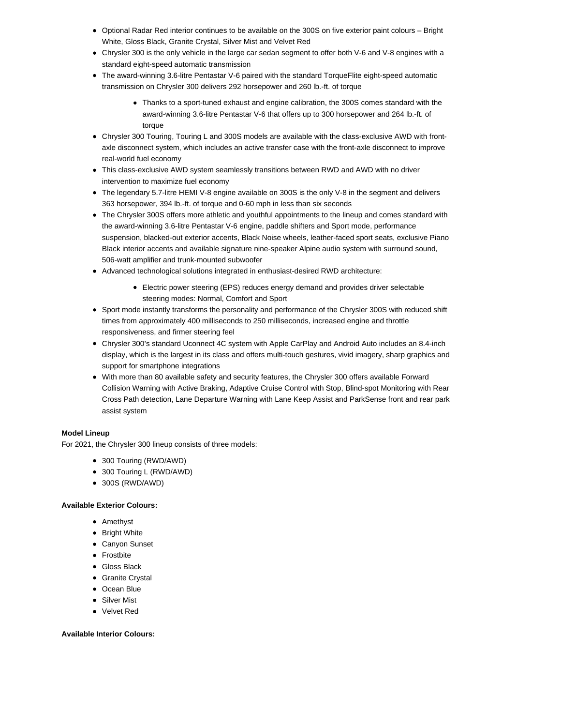- Optional Radar Red interior continues to be available on the 300S on five exterior paint colours Bright White, Gloss Black, Granite Crystal, Silver Mist and Velvet Red
- Chrysler 300 is the only vehicle in the large car sedan segment to offer both V-6 and V-8 engines with a standard eight-speed automatic transmission
- The award-winning 3.6-litre Pentastar V-6 paired with the standard TorqueFlite eight-speed automatic transmission on Chrysler 300 delivers 292 horsepower and 260 lb.-ft. of torque
	- Thanks to a sport-tuned exhaust and engine calibration, the 300S comes standard with the award-winning 3.6-litre Pentastar V-6 that offers up to 300 horsepower and 264 lb.-ft. of torque
- Chrysler 300 Touring, Touring L and 300S models are available with the class-exclusive AWD with frontaxle disconnect system, which includes an active transfer case with the front-axle disconnect to improve real-world fuel economy
- This class-exclusive AWD system seamlessly transitions between RWD and AWD with no driver intervention to maximize fuel economy
- The legendary 5.7-litre HEMI V-8 engine available on 300S is the only V-8 in the segment and delivers 363 horsepower, 394 lb.-ft. of torque and 0-60 mph in less than six seconds
- The Chrysler 300S offers more athletic and youthful appointments to the lineup and comes standard with the award-winning 3.6-litre Pentastar V-6 engine, paddle shifters and Sport mode, performance suspension, blacked-out exterior accents, Black Noise wheels, leather-faced sport seats, exclusive Piano Black interior accents and available signature nine-speaker Alpine audio system with surround sound, 506-watt amplifier and trunk-mounted subwoofer
- Advanced technological solutions integrated in enthusiast-desired RWD architecture:
	- Electric power steering (EPS) reduces energy demand and provides driver selectable steering modes: Normal, Comfort and Sport
- Sport mode instantly transforms the personality and performance of the Chrysler 300S with reduced shift times from approximately 400 milliseconds to 250 milliseconds, increased engine and throttle responsiveness, and firmer steering feel
- Chrysler 300's standard Uconnect 4C system with Apple CarPlay and Android Auto includes an 8.4-inch display, which is the largest in its class and offers multi-touch gestures, vivid imagery, sharp graphics and support for smartphone integrations
- With more than 80 available safety and security features, the Chrysler 300 offers available Forward Collision Warning with Active Braking, Adaptive Cruise Control with Stop, Blind-spot Monitoring with Rear Cross Path detection, Lane Departure Warning with Lane Keep Assist and ParkSense front and rear park assist system

# **Model Lineup**

For 2021, the Chrysler 300 lineup consists of three models:

- 300 Touring (RWD/AWD)
- 300 Touring L (RWD/AWD)
- 300S (RWD/AWD)

### **Available Exterior Colours:**

- Amethyst
- Bright White
- Canyon Sunset
- Frostbite
- Gloss Black
- Granite Crystal
- Ocean Blue
- **Silver Mist**
- Velvet Red

### **Available Interior Colours:**